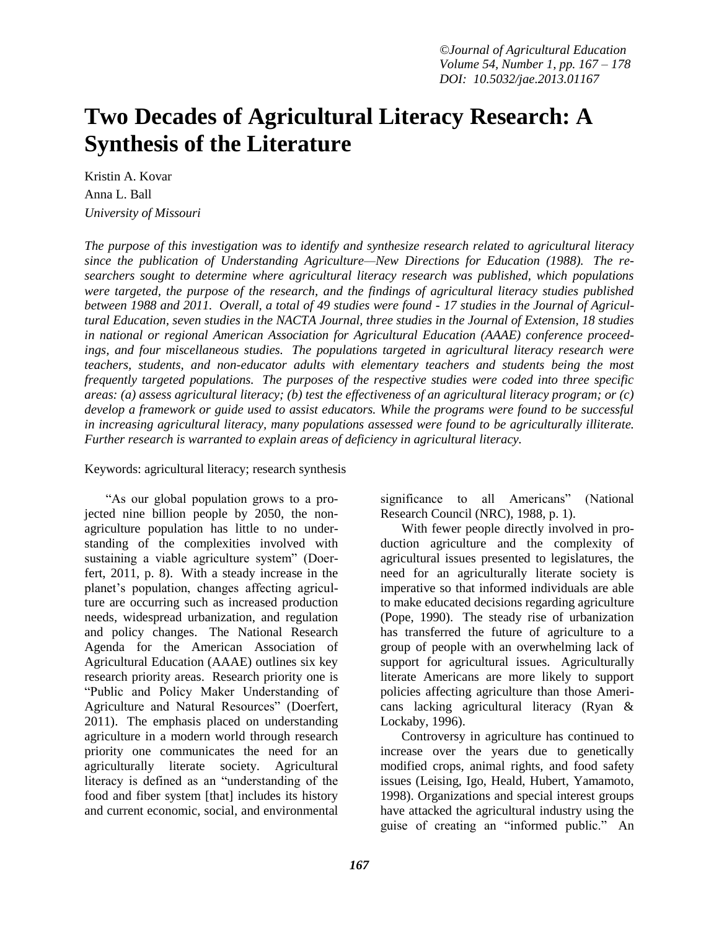# **Two Decades of Agricultural Literacy Research: A Synthesis of the Literature**

Kristin A. Kovar Anna L. Ball *University of Missouri*

*The purpose of this investigation was to identify and synthesize research related to agricultural literacy since the publication of Understanding Agriculture—New Directions for Education (1988). The researchers sought to determine where agricultural literacy research was published, which populations were targeted, the purpose of the research, and the findings of agricultural literacy studies published between 1988 and 2011. Overall, a total of 49 studies were found - 17 studies in the Journal of Agricultural Education, seven studies in the NACTA Journal, three studies in the Journal of Extension, 18 studies in national or regional American Association for Agricultural Education (AAAE) conference proceedings, and four miscellaneous studies. The populations targeted in agricultural literacy research were teachers, students, and non-educator adults with elementary teachers and students being the most frequently targeted populations. The purposes of the respective studies were coded into three specific areas: (a) assess agricultural literacy; (b) test the effectiveness of an agricultural literacy program; or (c) develop a framework or guide used to assist educators. While the programs were found to be successful in increasing agricultural literacy, many populations assessed were found to be agriculturally illiterate. Further research is warranted to explain areas of deficiency in agricultural literacy.*

Keywords: agricultural literacy; research synthesis

"As our global population grows to a projected nine billion people by 2050, the nonagriculture population has little to no understanding of the complexities involved with sustaining a viable agriculture system" (Doerfert, 2011, p. 8). With a steady increase in the planet's population, changes affecting agriculture are occurring such as increased production needs, widespread urbanization, and regulation and policy changes. The National Research Agenda for the American Association of Agricultural Education (AAAE) outlines six key research priority areas. Research priority one is "Public and Policy Maker Understanding of Agriculture and Natural Resources" (Doerfert, 2011). The emphasis placed on understanding agriculture in a modern world through research priority one communicates the need for an agriculturally literate society. Agricultural literacy is defined as an "understanding of the food and fiber system [that] includes its history and current economic, social, and environmental

significance to all Americans" (National Research Council (NRC), 1988, p. 1). With fewer people directly involved in pro-

duction agriculture and the complexity of agricultural issues presented to legislatures, the need for an agriculturally literate society is imperative so that informed individuals are able to make educated decisions regarding agriculture (Pope, 1990). The steady rise of urbanization has transferred the future of agriculture to a group of people with an overwhelming lack of support for agricultural issues. Agriculturally literate Americans are more likely to support policies affecting agriculture than those Americans lacking agricultural literacy (Ryan & Lockaby, 1996).

Controversy in agriculture has continued to increase over the years due to genetically modified crops, animal rights, and food safety issues (Leising, Igo, Heald, Hubert, Yamamoto, 1998). Organizations and special interest groups have attacked the agricultural industry using the guise of creating an "informed public." An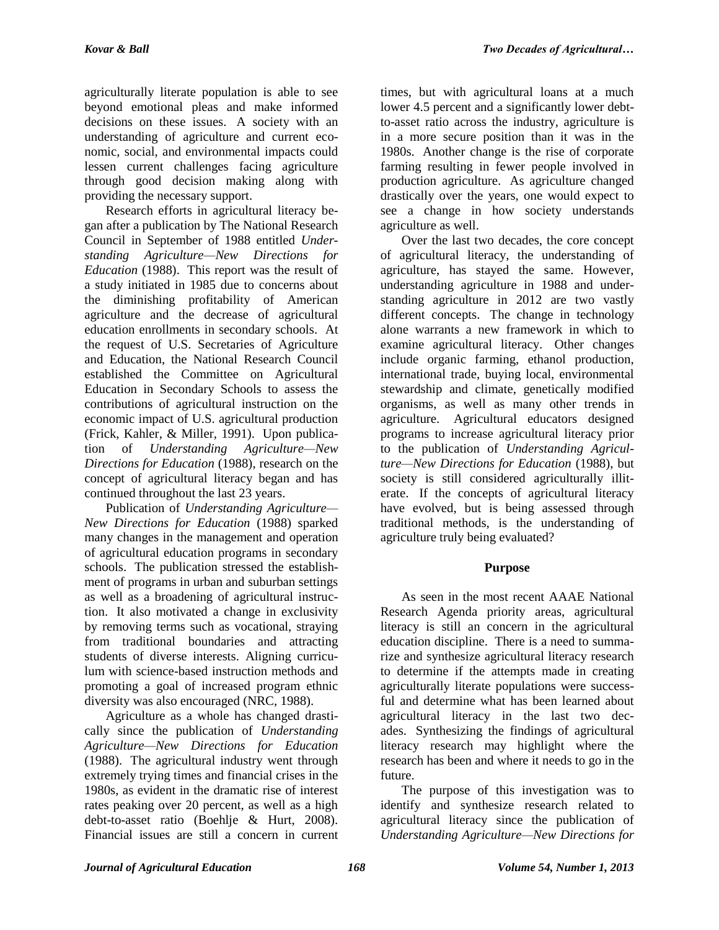agriculturally literate population is able to see beyond emotional pleas and make informed decisions on these issues. A society with an understanding of agriculture and current economic, social, and environmental impacts could lessen current challenges facing agriculture through good decision making along with providing the necessary support.

Research efforts in agricultural literacy began after a publication by The National Research Council in September of 1988 entitled *Understanding Agriculture—New Directions for Education* (1988). This report was the result of a study initiated in 1985 due to concerns about the diminishing profitability of American agriculture and the decrease of agricultural education enrollments in secondary schools. At the request of U.S. Secretaries of Agriculture and Education, the National Research Council established the Committee on Agricultural Education in Secondary Schools to assess the contributions of agricultural instruction on the economic impact of U.S. agricultural production (Frick, Kahler, & Miller, 1991). Upon publication of *Understanding Agriculture—New Directions for Education* (1988), research on the concept of agricultural literacy began and has continued throughout the last 23 years.

Publication of *Understanding Agriculture— New Directions for Education* (1988) sparked many changes in the management and operation of agricultural education programs in secondary schools. The publication stressed the establishment of programs in urban and suburban settings as well as a broadening of agricultural instruction. It also motivated a change in exclusivity by removing terms such as vocational, straying from traditional boundaries and attracting students of diverse interests. Aligning curriculum with science-based instruction methods and promoting a goal of increased program ethnic diversity was also encouraged (NRC, 1988).

Agriculture as a whole has changed drastically since the publication of *Understanding Agriculture—New Directions for Education*  (1988). The agricultural industry went through extremely trying times and financial crises in the 1980s, as evident in the dramatic rise of interest rates peaking over 20 percent, as well as a high debt-to-asset ratio (Boehlje & Hurt, 2008). Financial issues are still a concern in current

times, but with agricultural loans at a much lower 4.5 percent and a significantly lower debtto-asset ratio across the industry, agriculture is in a more secure position than it was in the 1980s. Another change is the rise of corporate farming resulting in fewer people involved in production agriculture. As agriculture changed drastically over the years, one would expect to see a change in how society understands agriculture as well.

Over the last two decades, the core concept of agricultural literacy, the understanding of agriculture, has stayed the same. However, understanding agriculture in 1988 and understanding agriculture in 2012 are two vastly different concepts. The change in technology alone warrants a new framework in which to examine agricultural literacy. Other changes include organic farming, ethanol production, international trade, buying local, environmental stewardship and climate, genetically modified organisms, as well as many other trends in agriculture. Agricultural educators designed programs to increase agricultural literacy prior to the publication of *Understanding Agriculture—New Directions for Education* (1988), but society is still considered agriculturally illiterate. If the concepts of agricultural literacy have evolved, but is being assessed through traditional methods, is the understanding of agriculture truly being evaluated?

## **Purpose**

As seen in the most recent AAAE National Research Agenda priority areas, agricultural literacy is still an concern in the agricultural education discipline. There is a need to summarize and synthesize agricultural literacy research to determine if the attempts made in creating agriculturally literate populations were successful and determine what has been learned about agricultural literacy in the last two decades. Synthesizing the findings of agricultural literacy research may highlight where the research has been and where it needs to go in the future.

The purpose of this investigation was to identify and synthesize research related to agricultural literacy since the publication of *Understanding Agriculture—New Directions for*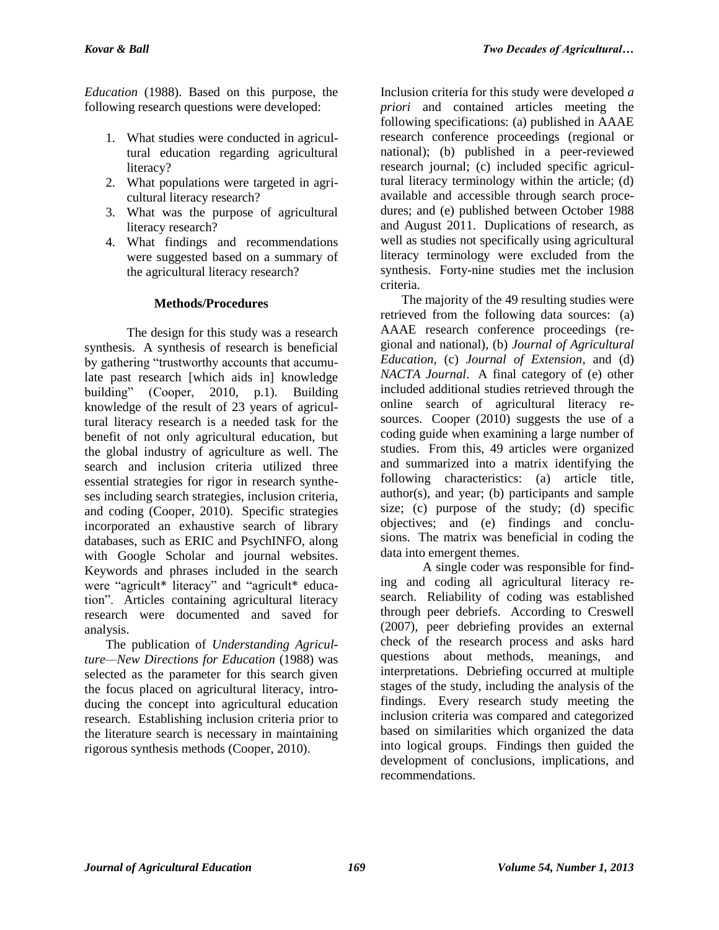*Education* (1988). Based on this purpose, the following research questions were developed:

- 1. What studies were conducted in agricultural education regarding agricultural literacy?
- 2. What populations were targeted in agricultural literacy research?
- 3. What was the purpose of agricultural literacy research?
- 4. What findings and recommendations were suggested based on a summary of the agricultural literacy research?

#### **Methods/Procedures**

The design for this study was a research synthesis. A synthesis of research is beneficial by gathering "trustworthy accounts that accumulate past research [which aids in] knowledge building" (Cooper, 2010, p.1). Building knowledge of the result of 23 years of agricultural literacy research is a needed task for the benefit of not only agricultural education, but the global industry of agriculture as well. The search and inclusion criteria utilized three essential strategies for rigor in research syntheses including search strategies, inclusion criteria, and coding (Cooper, 2010). Specific strategies incorporated an exhaustive search of library databases, such as ERIC and PsychINFO, along with Google Scholar and journal websites. Keywords and phrases included in the search were "agricult\* literacy" and "agricult\* education". Articles containing agricultural literacy research were documented and saved for analysis.

The publication of *Understanding Agriculture—New Directions for Education* (1988) was selected as the parameter for this search given the focus placed on agricultural literacy, introducing the concept into agricultural education research. Establishing inclusion criteria prior to the literature search is necessary in maintaining rigorous synthesis methods (Cooper, 2010).

Inclusion criteria for this study were developed *a priori* and contained articles meeting the following specifications: (a) published in AAAE research conference proceedings (regional or national); (b) published in a peer-reviewed research journal; (c) included specific agricultural literacy terminology within the article; (d) available and accessible through search procedures; and (e) published between October 1988 and August 2011. Duplications of research, as well as studies not specifically using agricultural literacy terminology were excluded from the synthesis. Forty-nine studies met the inclusion criteria.

The majority of the 49 resulting studies were retrieved from the following data sources: (a) AAAE research conference proceedings (regional and national), (b) *Journal of Agricultural Education*, (c) *Journal of Extension*, and (d) *NACTA Journal*. A final category of (e) other included additional studies retrieved through the online search of agricultural literacy resources. Cooper (2010) suggests the use of a coding guide when examining a large number of studies. From this, 49 articles were organized and summarized into a matrix identifying the following characteristics: (a) article title, author(s), and year; (b) participants and sample size; (c) purpose of the study; (d) specific objectives; and (e) findings and conclusions. The matrix was beneficial in coding the data into emergent themes.

A single coder was responsible for finding and coding all agricultural literacy research. Reliability of coding was established through peer debriefs. According to Creswell (2007), peer debriefing provides an external check of the research process and asks hard questions about methods, meanings, and interpretations. Debriefing occurred at multiple stages of the study, including the analysis of the findings. Every research study meeting the inclusion criteria was compared and categorized based on similarities which organized the data into logical groups. Findings then guided the development of conclusions, implications, and recommendations.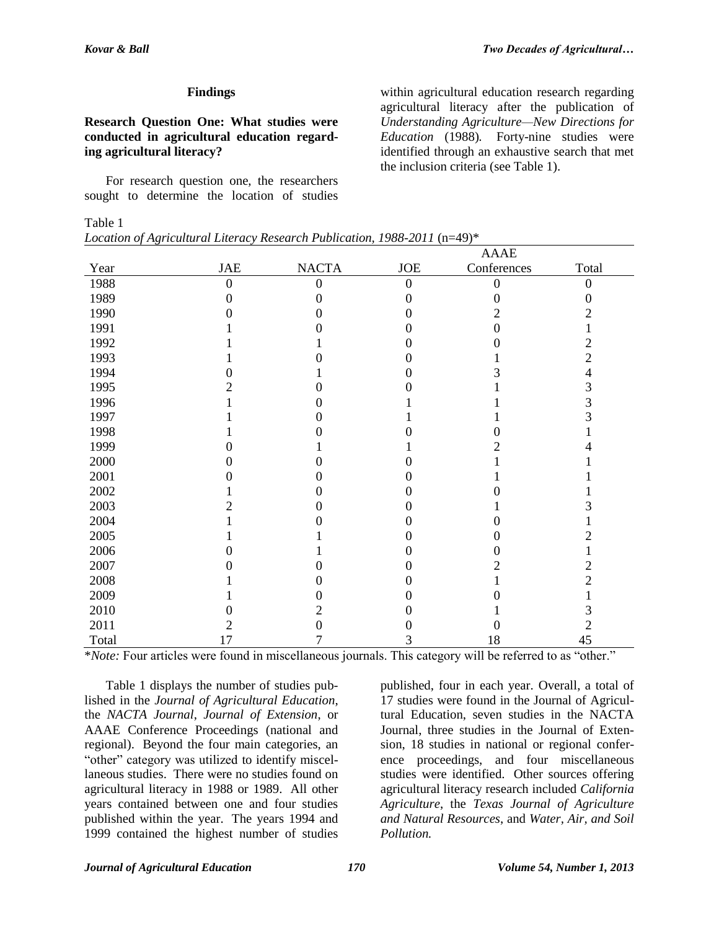within agricultural education research regarding agricultural literacy after the publication of *Understanding Agriculture—New Directions for Education* (1988)*.* Forty-nine studies were identified through an exhaustive search that met

the inclusion criteria (see Table 1).

#### **Findings**

#### **Research Question One: What studies were conducted in agricultural education regarding agricultural literacy?**

For research question one, the researchers sought to determine the location of studies

#### Table 1

*Location of Agricultural Literacy Research Publication, 1988-2011* (n=49)\*

|       |                             |              |          | AAAE        |       |
|-------|-----------------------------|--------------|----------|-------------|-------|
| Year  | $\ensuremath{\mathsf{JAE}}$ | <b>NACTA</b> | $JOE$    | Conferences | Total |
| 1988  | $\mathbf{0}$                | $\Omega$     | $\theta$ |             | 0     |
| 1989  | 0                           |              |          |             |       |
| 1990  |                             |              |          |             |       |
| 1991  |                             |              |          |             |       |
| 1992  |                             |              |          |             |       |
| 1993  |                             |              |          |             |       |
| 1994  |                             |              |          |             |       |
| 1995  |                             |              |          |             | 3     |
| 1996  |                             |              |          |             | 3     |
| 1997  |                             |              |          |             |       |
| 1998  |                             |              |          |             |       |
| 1999  |                             |              |          |             |       |
| 2000  |                             |              |          |             |       |
| 2001  |                             |              |          |             |       |
| 2002  |                             |              |          |             |       |
| 2003  |                             |              |          |             |       |
| 2004  |                             |              |          |             |       |
| 2005  |                             |              |          |             |       |
| 2006  | 0                           |              |          |             |       |
| 2007  |                             |              |          |             |       |
| 2008  |                             |              |          |             |       |
| 2009  |                             |              |          |             |       |
| 2010  |                             |              |          |             |       |
| 2011  |                             |              |          |             | 2     |
| Total | 17                          |              | 3        | 18          | 45    |

\**Note:* Four articles were found in miscellaneous journals. This category will be referred to as "other."

Table 1 displays the number of studies published in the *Journal of Agricultural Education*, the *NACTA Journal*, *Journal of Extension*, or AAAE Conference Proceedings (national and regional). Beyond the four main categories, an "other" category was utilized to identify miscellaneous studies. There were no studies found on agricultural literacy in 1988 or 1989. All other years contained between one and four studies published within the year. The years 1994 and 1999 contained the highest number of studies

published, four in each year. Overall, a total of 17 studies were found in the Journal of Agricultural Education, seven studies in the NACTA Journal, three studies in the Journal of Extension, 18 studies in national or regional conference proceedings, and four miscellaneous studies were identified. Other sources offering agricultural literacy research included *California Agriculture*, the *Texas Journal of Agriculture and Natural Resources*, and *Water, Air, and Soil Pollution.*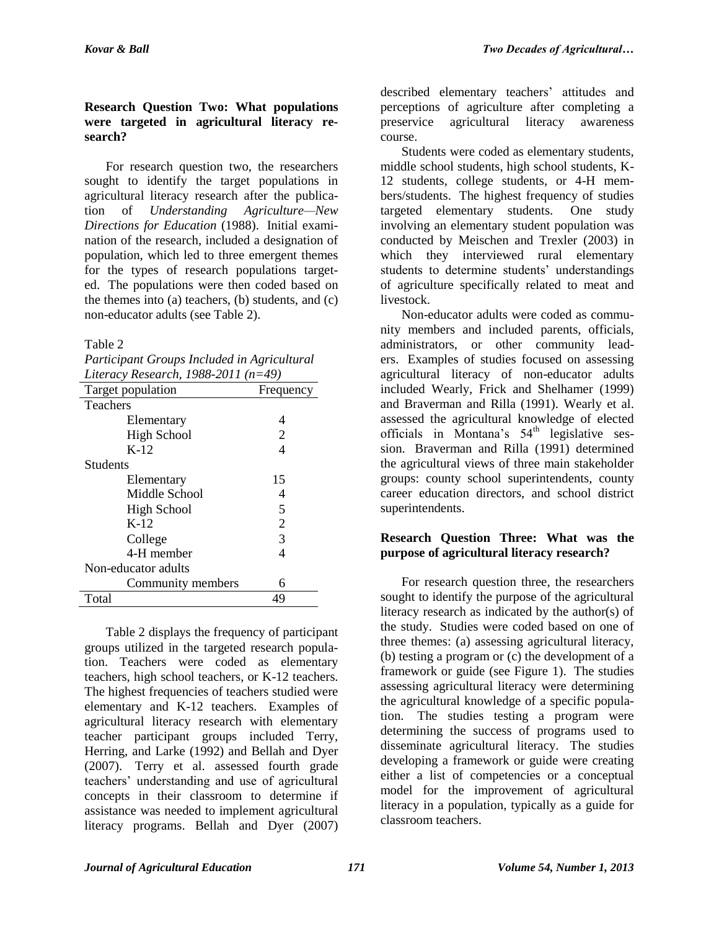## **Research Question Two: What populations were targeted in agricultural literacy research?**

For research question two, the researchers sought to identify the target populations in agricultural literacy research after the publication of *Understanding Agriculture—New Directions for Education* (1988). Initial examination of the research, included a designation of population, which led to three emergent themes for the types of research populations targeted. The populations were then coded based on the themes into (a) teachers, (b) students, and (c) non-educator adults (see Table 2).

Table 2

| Participant Groups Included in Agricultural |
|---------------------------------------------|
| Literacy Research, 1988-2011 $(n=49)$       |

| Literacy Research, 1988-2011 (n=49) |                |  |  |  |
|-------------------------------------|----------------|--|--|--|
| Target population                   | Frequency      |  |  |  |
| <b>Teachers</b>                     |                |  |  |  |
| Elementary                          | 4              |  |  |  |
| <b>High School</b>                  | 2              |  |  |  |
| $K-12$                              | 4              |  |  |  |
| <b>Students</b>                     |                |  |  |  |
| Elementary                          | 15             |  |  |  |
| Middle School                       | 4              |  |  |  |
| High School                         | 5              |  |  |  |
| K-12                                | $\overline{2}$ |  |  |  |
| College                             | 3              |  |  |  |
| 4-H member                          | 4              |  |  |  |
| Non-educator adults                 |                |  |  |  |
| Community members                   | 6              |  |  |  |
| Total                               | 49             |  |  |  |

Table 2 displays the frequency of participant groups utilized in the targeted research population. Teachers were coded as elementary teachers, high school teachers, or K-12 teachers. The highest frequencies of teachers studied were elementary and K-12 teachers. Examples of agricultural literacy research with elementary teacher participant groups included Terry, Herring, and Larke (1992) and Bellah and Dyer (2007). Terry et al. assessed fourth grade teachers' understanding and use of agricultural concepts in their classroom to determine if assistance was needed to implement agricultural literacy programs. Bellah and Dyer (2007)

described elementary teachers' attitudes and perceptions of agriculture after completing a preservice agricultural literacy awareness course.

Students were coded as elementary students, middle school students, high school students, K-12 students, college students, or 4-H members/students. The highest frequency of studies targeted elementary students. One study involving an elementary student population was conducted by Meischen and Trexler (2003) in which they interviewed rural elementary students to determine students' understandings of agriculture specifically related to meat and livestock.

Non-educator adults were coded as community members and included parents, officials, administrators, or other community leaders. Examples of studies focused on assessing agricultural literacy of non-educator adults included Wearly, Frick and Shelhamer (1999) and Braverman and Rilla (1991). Wearly et al. assessed the agricultural knowledge of elected officials in Montana's  $54<sup>th</sup>$  legislative session. Braverman and Rilla (1991) determined the agricultural views of three main stakeholder groups: county school superintendents, county career education directors, and school district superintendents.

## **Research Question Three: What was the purpose of agricultural literacy research?**

For research question three, the researchers sought to identify the purpose of the agricultural literacy research as indicated by the author(s) of the study. Studies were coded based on one of three themes: (a) assessing agricultural literacy, (b) testing a program or (c) the development of a framework or guide (see Figure 1). The studies assessing agricultural literacy were determining the agricultural knowledge of a specific population. The studies testing a program were determining the success of programs used to disseminate agricultural literacy. The studies developing a framework or guide were creating either a list of competencies or a conceptual model for the improvement of agricultural literacy in a population, typically as a guide for classroom teachers.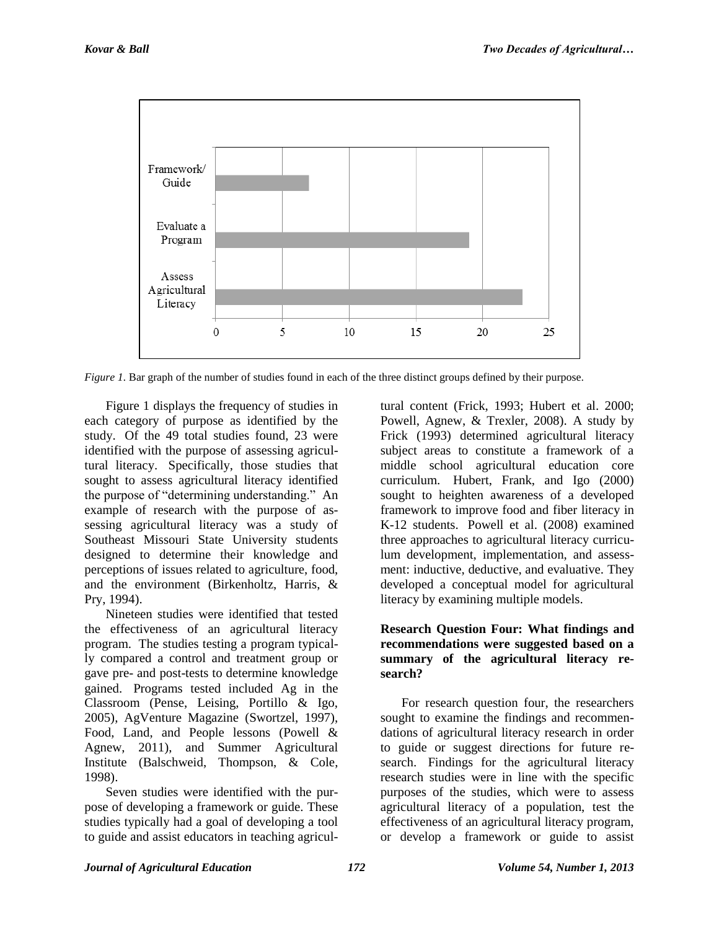

*Figure 1.* Bar graph of the number of studies found in each of the three distinct groups defined by their purpose.

Figure 1 displays the frequency of studies in each category of purpose as identified by the study. Of the 49 total studies found, 23 were identified with the purpose of assessing agricultural literacy. Specifically, those studies that sought to assess agricultural literacy identified the purpose of "determining understanding." An example of research with the purpose of assessing agricultural literacy was a study of Southeast Missouri State University students designed to determine their knowledge and perceptions of issues related to agriculture, food, and the environment (Birkenholtz, Harris, & Pry, 1994).

Nineteen studies were identified that tested the effectiveness of an agricultural literacy program. The studies testing a program typically compared a control and treatment group or gave pre- and post-tests to determine knowledge gained. Programs tested included Ag in the Classroom (Pense, Leising, Portillo & Igo, 2005), AgVenture Magazine (Swortzel, 1997), Food, Land, and People lessons (Powell & Agnew, 2011), and Summer Agricultural Institute (Balschweid, Thompson, & Cole, 1998).

Seven studies were identified with the purpose of developing a framework or guide. These studies typically had a goal of developing a tool to guide and assist educators in teaching agricultural content (Frick, 1993; Hubert et al. 2000; Powell, Agnew, & Trexler, 2008). A study by Frick (1993) determined agricultural literacy subject areas to constitute a framework of a middle school agricultural education core curriculum. Hubert, Frank, and Igo (2000) sought to heighten awareness of a developed framework to improve food and fiber literacy in K-12 students. Powell et al. (2008) examined three approaches to agricultural literacy curriculum development, implementation, and assessment: inductive, deductive, and evaluative. They developed a conceptual model for agricultural literacy by examining multiple models.

#### **Research Question Four: What findings and recommendations were suggested based on a summary of the agricultural literacy research?**

For research question four, the researchers sought to examine the findings and recommendations of agricultural literacy research in order to guide or suggest directions for future research. Findings for the agricultural literacy research studies were in line with the specific purposes of the studies, which were to assess agricultural literacy of a population, test the effectiveness of an agricultural literacy program, or develop a framework or guide to assist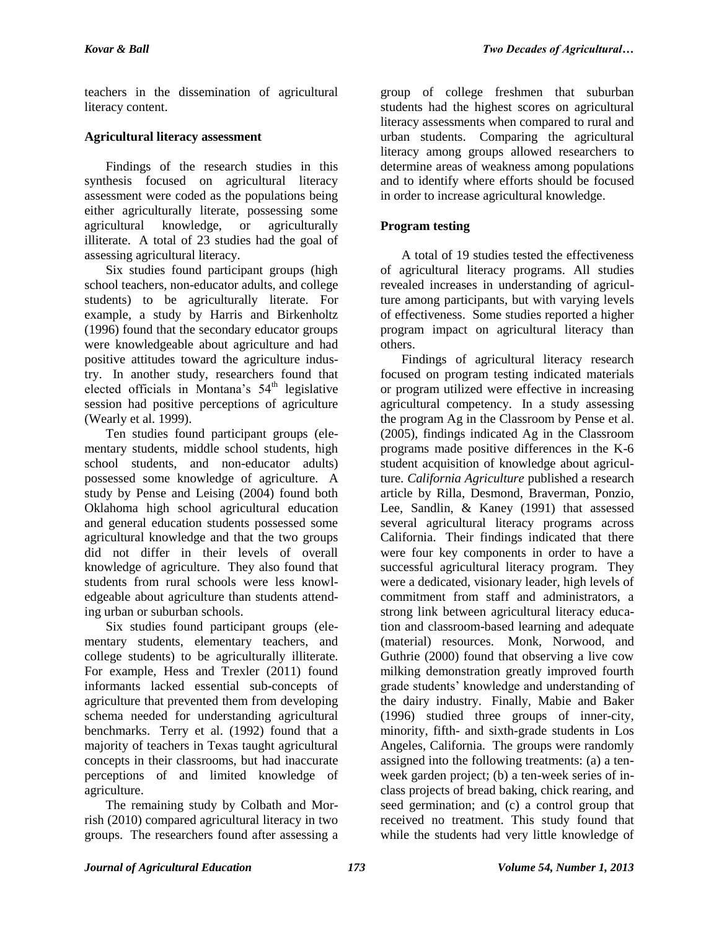teachers in the dissemination of agricultural literacy content.

## **Agricultural literacy assessment**

Findings of the research studies in this synthesis focused on agricultural literacy assessment were coded as the populations being either agriculturally literate, possessing some agricultural knowledge, or agriculturally illiterate. A total of 23 studies had the goal of assessing agricultural literacy.

Six studies found participant groups (high school teachers, non-educator adults, and college students) to be agriculturally literate. For example, a study by Harris and Birkenholtz (1996) found that the secondary educator groups were knowledgeable about agriculture and had positive attitudes toward the agriculture industry. In another study, researchers found that elected officials in Montana's  $54<sup>th</sup>$  legislative session had positive perceptions of agriculture (Wearly et al. 1999).

Ten studies found participant groups (elementary students, middle school students, high school students, and non-educator adults) possessed some knowledge of agriculture. A study by Pense and Leising (2004) found both Oklahoma high school agricultural education and general education students possessed some agricultural knowledge and that the two groups did not differ in their levels of overall knowledge of agriculture. They also found that students from rural schools were less knowledgeable about agriculture than students attending urban or suburban schools.

Six studies found participant groups (elementary students, elementary teachers, and college students) to be agriculturally illiterate. For example, Hess and Trexler (2011) found informants lacked essential sub-concepts of agriculture that prevented them from developing schema needed for understanding agricultural benchmarks. Terry et al. (1992) found that a majority of teachers in Texas taught agricultural concepts in their classrooms, but had inaccurate perceptions of and limited knowledge of agriculture.

The remaining study by Colbath and Morrish (2010) compared agricultural literacy in two groups. The researchers found after assessing a group of college freshmen that suburban students had the highest scores on agricultural literacy assessments when compared to rural and urban students. Comparing the agricultural literacy among groups allowed researchers to determine areas of weakness among populations and to identify where efforts should be focused in order to increase agricultural knowledge.

# **Program testing**

A total of 19 studies tested the effectiveness of agricultural literacy programs. All studies revealed increases in understanding of agriculture among participants, but with varying levels of effectiveness. Some studies reported a higher program impact on agricultural literacy than others.

Findings of agricultural literacy research focused on program testing indicated materials or program utilized were effective in increasing agricultural competency. In a study assessing the program Ag in the Classroom by Pense et al. (2005), findings indicated Ag in the Classroom programs made positive differences in the K-6 student acquisition of knowledge about agriculture. *California Agriculture* published a research article by Rilla, Desmond, Braverman, Ponzio, Lee, Sandlin, & Kaney (1991) that assessed several agricultural literacy programs across California. Their findings indicated that there were four key components in order to have a successful agricultural literacy program. They were a dedicated, visionary leader, high levels of commitment from staff and administrators, a strong link between agricultural literacy education and classroom-based learning and adequate (material) resources. Monk, Norwood, and Guthrie (2000) found that observing a live cow milking demonstration greatly improved fourth grade students' knowledge and understanding of the dairy industry. Finally, Mabie and Baker (1996) studied three groups of inner-city, minority, fifth- and sixth-grade students in Los Angeles, California. The groups were randomly assigned into the following treatments: (a) a tenweek garden project; (b) a ten-week series of inclass projects of bread baking, chick rearing, and seed germination; and (c) a control group that received no treatment. This study found that while the students had very little knowledge of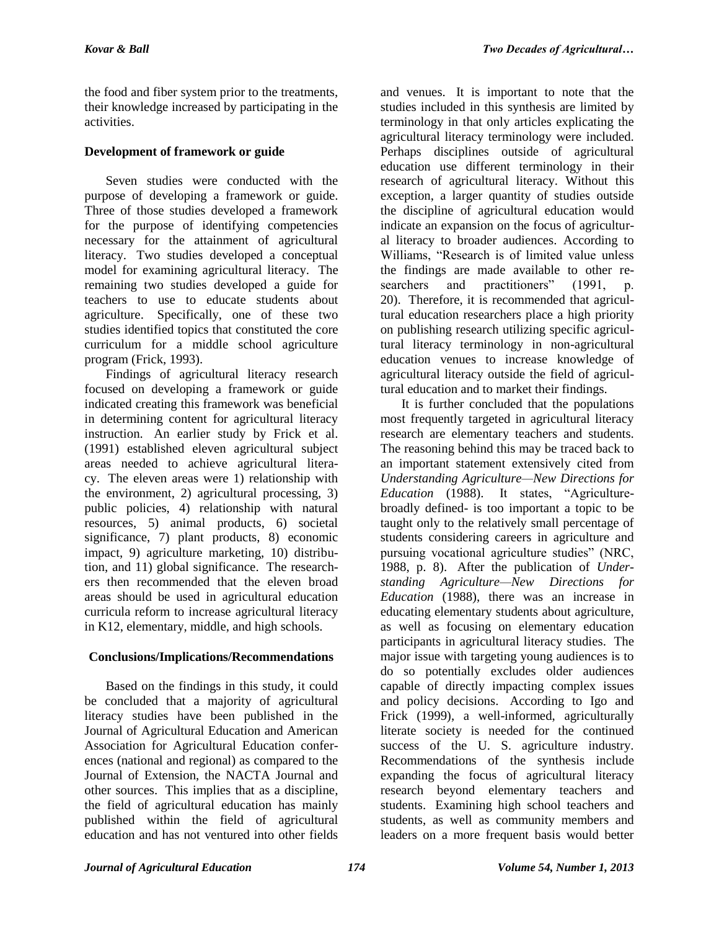the food and fiber system prior to the treatments, their knowledge increased by participating in the activities.

## **Development of framework or guide**

Seven studies were conducted with the purpose of developing a framework or guide. Three of those studies developed a framework for the purpose of identifying competencies necessary for the attainment of agricultural literacy. Two studies developed a conceptual model for examining agricultural literacy. The remaining two studies developed a guide for teachers to use to educate students about agriculture. Specifically, one of these two studies identified topics that constituted the core curriculum for a middle school agriculture program (Frick, 1993).

Findings of agricultural literacy research focused on developing a framework or guide indicated creating this framework was beneficial in determining content for agricultural literacy instruction. An earlier study by Frick et al. (1991) established eleven agricultural subject areas needed to achieve agricultural literacy. The eleven areas were 1) relationship with the environment, 2) agricultural processing, 3) public policies, 4) relationship with natural resources, 5) animal products, 6) societal significance, 7) plant products, 8) economic impact, 9) agriculture marketing, 10) distribution, and 11) global significance. The researchers then recommended that the eleven broad areas should be used in agricultural education curricula reform to increase agricultural literacy in K12, elementary, middle, and high schools.

# **Conclusions/Implications/Recommendations**

Based on the findings in this study, it could be concluded that a majority of agricultural literacy studies have been published in the Journal of Agricultural Education and American Association for Agricultural Education conferences (national and regional) as compared to the Journal of Extension, the NACTA Journal and other sources. This implies that as a discipline, the field of agricultural education has mainly published within the field of agricultural education and has not ventured into other fields

and venues. It is important to note that the studies included in this synthesis are limited by terminology in that only articles explicating the agricultural literacy terminology were included. Perhaps disciplines outside of agricultural education use different terminology in their research of agricultural literacy. Without this exception, a larger quantity of studies outside the discipline of agricultural education would indicate an expansion on the focus of agricultural literacy to broader audiences. According to Williams, "Research is of limited value unless the findings are made available to other researchers and practitioners" (1991, p. 20). Therefore, it is recommended that agricultural education researchers place a high priority on publishing research utilizing specific agricultural literacy terminology in non-agricultural education venues to increase knowledge of agricultural literacy outside the field of agricultural education and to market their findings.

It is further concluded that the populations most frequently targeted in agricultural literacy research are elementary teachers and students. The reasoning behind this may be traced back to an important statement extensively cited from *Understanding Agriculture—New Directions for Education* (1988). It states, "Agriculturebroadly defined- is too important a topic to be taught only to the relatively small percentage of students considering careers in agriculture and pursuing vocational agriculture studies" (NRC, 1988, p. 8). After the publication of *Understanding Agriculture—New Directions for Education* (1988), there was an increase in educating elementary students about agriculture, as well as focusing on elementary education participants in agricultural literacy studies. The major issue with targeting young audiences is to do so potentially excludes older audiences capable of directly impacting complex issues and policy decisions. According to Igo and Frick (1999), a well-informed, agriculturally literate society is needed for the continued success of the U. S. agriculture industry. Recommendations of the synthesis include expanding the focus of agricultural literacy research beyond elementary teachers and students. Examining high school teachers and students, as well as community members and leaders on a more frequent basis would better

*Journal of Agricultural Education 174 Volume 54, Number 1, 2013*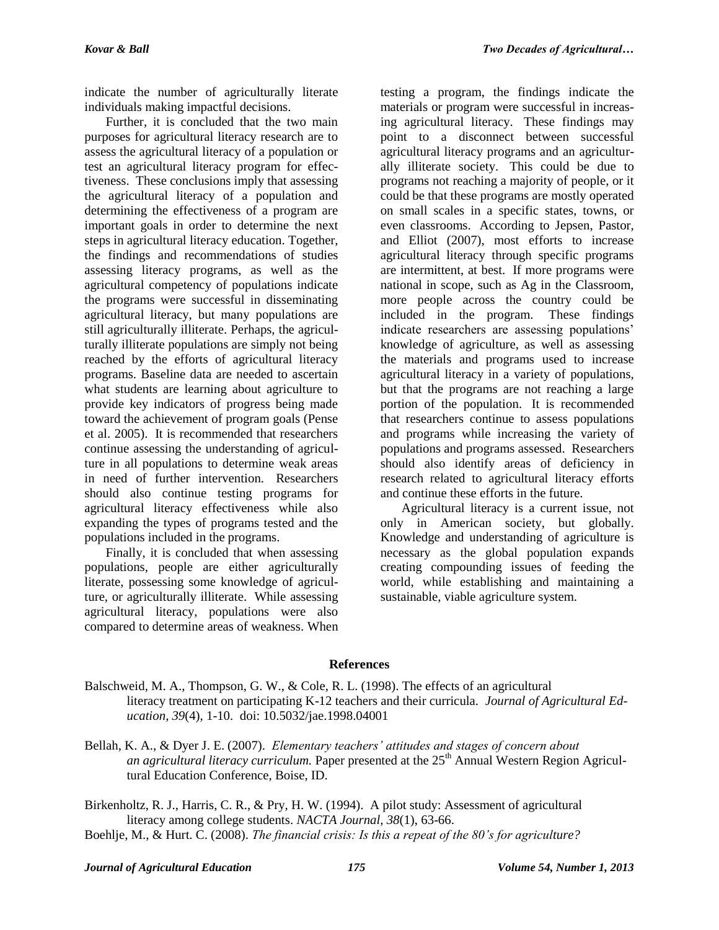indicate the number of agriculturally literate individuals making impactful decisions.

Further, it is concluded that the two main purposes for agricultural literacy research are to assess the agricultural literacy of a population or test an agricultural literacy program for effectiveness. These conclusions imply that assessing the agricultural literacy of a population and determining the effectiveness of a program are important goals in order to determine the next steps in agricultural literacy education. Together, the findings and recommendations of studies assessing literacy programs, as well as the agricultural competency of populations indicate the programs were successful in disseminating agricultural literacy, but many populations are still agriculturally illiterate. Perhaps, the agriculturally illiterate populations are simply not being reached by the efforts of agricultural literacy programs. Baseline data are needed to ascertain what students are learning about agriculture to provide key indicators of progress being made toward the achievement of program goals (Pense et al. 2005). It is recommended that researchers continue assessing the understanding of agriculture in all populations to determine weak areas in need of further intervention. Researchers should also continue testing programs for agricultural literacy effectiveness while also expanding the types of programs tested and the populations included in the programs.

Finally, it is concluded that when assessing populations, people are either agriculturally literate, possessing some knowledge of agriculture, or agriculturally illiterate. While assessing agricultural literacy, populations were also compared to determine areas of weakness. When testing a program, the findings indicate the materials or program were successful in increasing agricultural literacy. These findings may point to a disconnect between successful agricultural literacy programs and an agriculturally illiterate society. This could be due to programs not reaching a majority of people, or it could be that these programs are mostly operated on small scales in a specific states, towns, or even classrooms. According to Jepsen, Pastor, and Elliot (2007), most efforts to increase agricultural literacy through specific programs are intermittent, at best. If more programs were national in scope, such as Ag in the Classroom, more people across the country could be included in the program. These findings indicate researchers are assessing populations' knowledge of agriculture, as well as assessing the materials and programs used to increase agricultural literacy in a variety of populations, but that the programs are not reaching a large portion of the population. It is recommended that researchers continue to assess populations and programs while increasing the variety of populations and programs assessed. Researchers should also identify areas of deficiency in research related to agricultural literacy efforts and continue these efforts in the future.

Agricultural literacy is a current issue, not only in American society, but globally. Knowledge and understanding of agriculture is necessary as the global population expands creating compounding issues of feeding the world, while establishing and maintaining a sustainable, viable agriculture system.

## **References**

- Balschweid, M. A., Thompson, G. W., & Cole, R. L. (1998). The effects of an agricultural literacy treatment on participating K-12 teachers and their curricula. *Journal of Agricultural Education, 39*(4), 1-10. doi: 10.5032/jae.1998.04001
- Bellah, K. A., & Dyer J. E. (2007). *Elementary teachers' attitudes and stages of concern about an agricultural literacy curriculum.* Paper presented at the 25<sup>th</sup> Annual Western Region Agricultural Education Conference, Boise, ID.

Birkenholtz, R. J., Harris, C. R., & Pry, H. W. (1994). A pilot study: Assessment of agricultural literacy among college students. *NACTA Journal, 38*(1), 63-66.

Boehlje, M., & Hurt. C. (2008). *The financial crisis: Is this a repeat of the 80's for agriculture?*

#### *Journal of Agricultural Education 175 Volume 54, Number 1, 2013*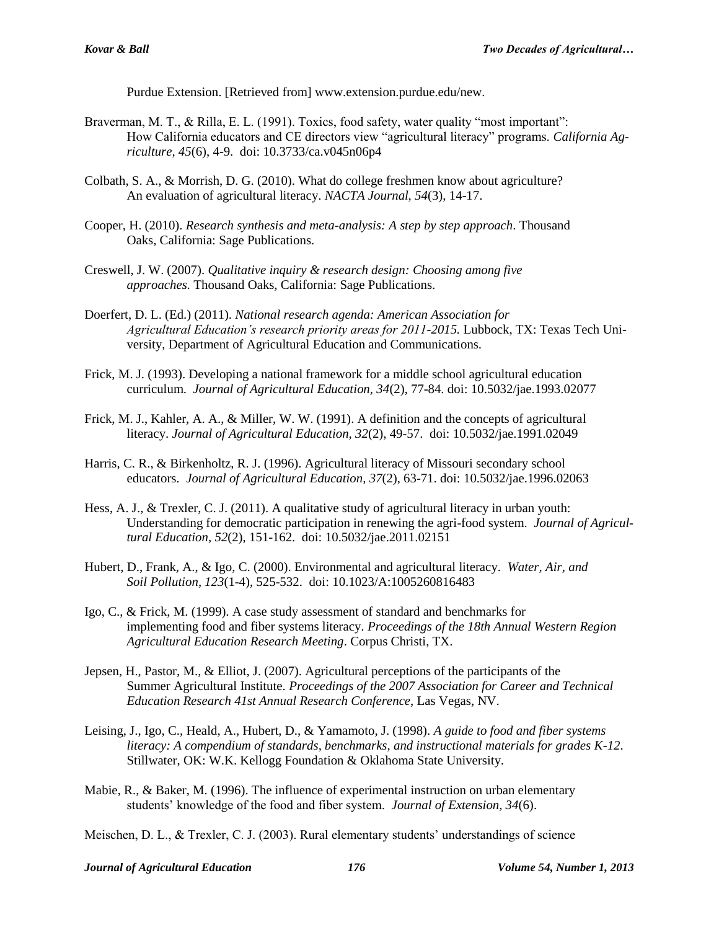Purdue Extension. [Retrieved from] www.extension.purdue.edu/new.

- Braverman, M. T., & Rilla, E. L. (1991). Toxics, food safety, water quality "most important": How California educators and CE directors view "agricultural literacy" programs. *California Agriculture, 45*(6), 4-9. doi: 10.3733/ca.v045n06p4
- Colbath, S. A., & Morrish, D. G. (2010). What do college freshmen know about agriculture? An evaluation of agricultural literacy. *NACTA Journal, 54*(3), 14-17.
- Cooper, H. (2010). *Research synthesis and meta-analysis: A step by step approach*. Thousand Oaks, California: Sage Publications.
- Creswell, J. W. (2007). *Qualitative inquiry & research design: Choosing among five approaches.* Thousand Oaks, California: Sage Publications.
- Doerfert, D. L. (Ed.) (2011). *National research agenda: American Association for Agricultural Education's research priority areas for 2011-2015.* Lubbock, TX: Texas Tech University, Department of Agricultural Education and Communications.
- Frick, M. J. (1993). Developing a national framework for a middle school agricultural education curriculum. *Journal of Agricultural Education, 34*(2), 77-84. doi: 10.5032/jae.1993.02077
- Frick, M. J., Kahler, A. A., & Miller, W. W. (1991). A definition and the concepts of agricultural literacy. *Journal of Agricultural Education, 32*(2), 49-57. doi: 10.5032/jae.1991.02049
- Harris, C. R., & Birkenholtz, R. J. (1996). Agricultural literacy of Missouri secondary school educators. *Journal of Agricultural Education, 37*(2), 63-71. doi: 10.5032/jae.1996.02063
- Hess, A. J., & Trexler, C. J. (2011). A qualitative study of agricultural literacy in urban youth: Understanding for democratic participation in renewing the agri-food system. *Journal of Agricultural Education, 52*(2), 151-162. doi: 10.5032/jae.2011.02151
- Hubert, D., Frank, A., & Igo, C. (2000). Environmental and agricultural literacy. *Water, Air, and Soil Pollution, 123*(1-4), 525-532. doi: 10.1023/A:1005260816483
- Igo, C., & Frick, M. (1999). A case study assessment of standard and benchmarks for implementing food and fiber systems literacy. *Proceedings of the 18th Annual Western Region Agricultural Education Research Meeting*. Corpus Christi, TX.
- Jepsen, H., Pastor, M., & Elliot, J. (2007). Agricultural perceptions of the participants of the Summer Agricultural Institute. *Proceedings of the 2007 Association for Career and Technical Education Research 41st Annual Research Conference*, Las Vegas, NV.
- Leising, J., Igo, C., Heald, A., Hubert, D., & Yamamoto, J. (1998). *A guide to food and fiber systems literacy: A compendium of standards, benchmarks, and instructional materials for grades K-12*. Stillwater, OK: W.K. Kellogg Foundation & Oklahoma State University.
- Mabie, R., & Baker, M. (1996). The influence of experimental instruction on urban elementary students' knowledge of the food and fiber system. *Journal of Extension, 34*(6).

Meischen, D. L., & Trexler, C. J. (2003). Rural elementary students' understandings of science

*Journal of Agricultural Education 176 Volume 54, Number 1, 2013*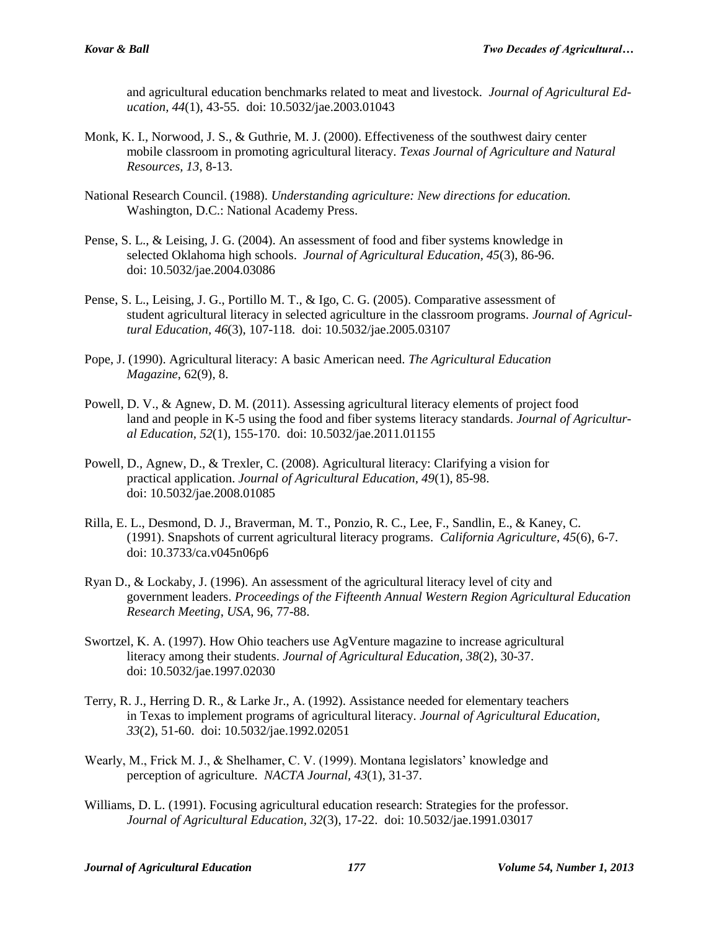and agricultural education benchmarks related to meat and livestock. *Journal of Agricultural Education, 44*(1), 43-55. doi: 10.5032/jae.2003.01043

- Monk, K. I., Norwood, J. S., & Guthrie, M. J. (2000). Effectiveness of the southwest dairy center mobile classroom in promoting agricultural literacy. *Texas Journal of Agriculture and Natural Resources, 13*, 8-13.
- National Research Council. (1988). *Understanding agriculture: New directions for education.* Washington, D.C.: National Academy Press.
- Pense, S. L., & Leising, J. G. (2004). An assessment of food and fiber systems knowledge in selected Oklahoma high schools. *Journal of Agricultural Education, 45*(3), 86-96. doi: 10.5032/jae.2004.03086
- Pense, S. L., Leising, J. G., Portillo M. T., & Igo, C. G. (2005). Comparative assessment of student agricultural literacy in selected agriculture in the classroom programs. *Journal of Agricultural Education, 46*(3), 107-118. doi: 10.5032/jae.2005.03107
- Pope, J. (1990). Agricultural literacy: A basic American need. *The Agricultural Education Magazine*, 62(9), 8.
- Powell, D. V., & Agnew, D. M. (2011). Assessing agricultural literacy elements of project food land and people in K-5 using the food and fiber systems literacy standards. *Journal of Agricultural Education, 52*(1), 155-170. doi: 10.5032/jae.2011.01155
- Powell, D., Agnew, D., & Trexler, C. (2008). Agricultural literacy: Clarifying a vision for practical application. *Journal of Agricultural Education, 49*(1), 85-98. doi: 10.5032/jae.2008.01085
- Rilla, E. L., Desmond, D. J., Braverman, M. T., Ponzio, R. C., Lee, F., Sandlin, E., & Kaney, C. (1991). Snapshots of current agricultural literacy programs. *California Agriculture, 45*(6), 6-7. doi: 10.3733/ca.v045n06p6
- Ryan D., & Lockaby, J. (1996). An assessment of the agricultural literacy level of city and government leaders. *Proceedings of the Fifteenth Annual Western Region Agricultural Education Research Meeting*, *USA*, 96, 77-88.
- Swortzel, K. A. (1997). How Ohio teachers use AgVenture magazine to increase agricultural literacy among their students. *Journal of Agricultural Education, 38*(2), 30-37. doi: 10.5032/jae.1997.02030
- Terry, R. J., Herring D. R., & Larke Jr., A. (1992). Assistance needed for elementary teachers in Texas to implement programs of agricultural literacy. *Journal of Agricultural Education, 33*(2), 51-60. doi: 10.5032/jae.1992.02051
- Wearly, M., Frick M. J., & Shelhamer, C. V. (1999). Montana legislators' knowledge and perception of agriculture. *NACTA Journal, 43*(1), 31-37.
- Williams, D. L. (1991). Focusing agricultural education research: Strategies for the professor. *Journal of Agricultural Education, 32*(3), 17-22. doi: 10.5032/jae.1991.03017